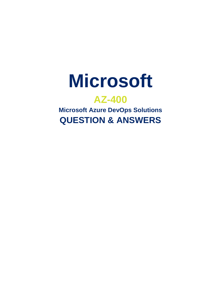

# **AZ-400**

**Microsoft Azure DevOps Solutions QUESTION & ANSWERS**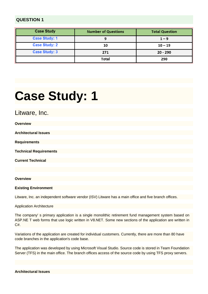| <b>Case Study</b>    | <b>Number of Questions</b> | <b>Total Question</b> |
|----------------------|----------------------------|-----------------------|
| <b>Case Study: 1</b> | 9                          | $1 - 9$               |
| <b>Case Study: 2</b> | 10                         | $10 - 19$             |
| <b>Case Study: 3</b> | 271                        | 20 - 290              |
|                      | <b>Total</b>               | 290                   |

# **Case Study: 1**

Litware, Inc.

| <b>Overview</b>               |  |  |
|-------------------------------|--|--|
| <b>Architectural Issues</b>   |  |  |
|                               |  |  |
| <b>Requirements</b>           |  |  |
|                               |  |  |
| <b>Technical Requirements</b> |  |  |
| <b>Current Technical</b>      |  |  |
|                               |  |  |
|                               |  |  |

#### **Overview**

**Existing Environment**

Litware, Inc. an independent software vendor (ISV) Litware has a main office and five branch offices.

Application Architecture

The company' s primary application is a single monolithic retirement fund management system based on ASP.NE T web forms that use logic written in V8.NET. Some new sections of the application are written in C#.

Variations of the application are created for individual customers. Currently, there are more than 80 have code branches in the application's code base.

The application was developed by using Microsoft Visual Studio. Source code is stored in Team Foundation Server (TFS) in the main office. The branch offices access of the source code by using TFS proxy servers.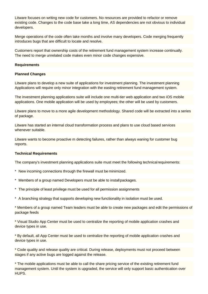Litware focuses on writing new code for customers. No resources are provided to refactor or remove existing code. Changes to the code base take a long time, AS dependencies are not obvious to individual developers.

Merge operations of the code often take months and involve many developers. Code merging frequently introduces bugs that are difficult to locate and resolve.

Customers report that ownership costs of the retirement fund management system increase continually. The need to merge unrelated code makes even minor code changes expensive.

#### **Requirements**

#### **Planned Changes**

Litware plans to develop a new suite of applications for investment planning. The investment planning Applications will require only minor integration with the easting retirement fund management system.

The investment planning applications suite will include one multi-tier web application and two iOS mobile applications. One mobile application will be used by employees; the other will be used by customers.

Litware plans to move to a more agile development methodology. Shared code will be extracted into a series of package.

Litware has started an internal cloud transformation process and plans to use cloud based services whenever suitable

Litware wants to become proactive m detecting failures, rather than always waning for customer bug reports.

#### **Technical Requirements**

The company's investment planning applications suite must meet the following technical requirements:

- \* New incoming connections through the firewall must be minimized.
- Members of a group named Developers must be able to installpackages.
- \* The principle of least privilege must be used for all permission assignments
- \* A branching strategy that supports developing new functionality in isolation must be used.

\* Members of a group named Team leaders must be able to create new packages and edit the permissions of package feeds

\* Visual Studio App Center must be used to centralize the reporting of mobile application crashes and device types in use.

\* By default, all App Center must be used to centralize the reporting of mobile application crashes and device types in use.

\* Code quality and release quality are critical. During release, deployments must not proceed between stages if any active bugs are logged against the release.

\* The mobile applications must be able to call the share pricing service of the existing retirement fund management system. Until the system is upgraded, the service will only support basic authentication over HUPS.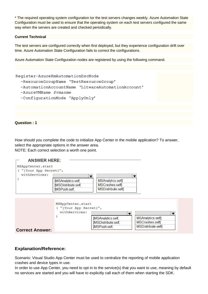\* The required operating system configuration tor the test servers changes weekly. Azure Automation State Configuration must be used to ensure that the operating system on each test servers configured the same way when the servers are created and checked periodically.

#### **Current Technical**

The test servers are configured correctly when first deployed, but they experience configuration drift over time. Azure Automation State Configuration fails to correct the configurations.

Azure Automation State Configuration nodes are registered by using the following command.



How should you complete the code to initialize App Center in the mobile application? To answer, select the appropriate options in the answer area. NOTE: Each correct selection a worth one point.



#### **Explanation/Reference:**

Scenario: Visual Studio App Center must be used to centralize the reporting of mobile application crashes and device types in use.

In order to use App Center, you need to opt in to the service(s) that you want to use, meaning by default no services are started and you will have to explicitly call each of them when starting the SDK.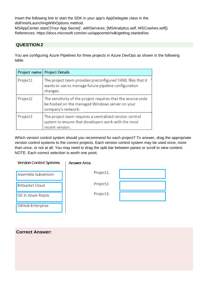Insert the following line to start the SDK in your app's AppDelegate class in the didFinishLaunchingWithOptions method.

MSAppCenter.start('{Your App Secret}', withServices: [MSAnalytics.self, MSCrashes.self]) References: https://docs.microsoft.com/en-us/appcenter/sdk/getting-started/ios

#### **QUESTION 2**

You are configuring Azure Pipelines for three projects in Azure DevOps as shown in the following table.

| Project name | <b>Project Details</b>                                                                                                                |  |  |
|--------------|---------------------------------------------------------------------------------------------------------------------------------------|--|--|
| Project1     | The project team provides preconfigured YAML files that it<br>wants to use to manage future pipeline configuration<br>changes.        |  |  |
| Project2     | The sensitivity of the project requires that the source code<br>be hosted on the managed Windows server on your<br>company's network. |  |  |
| Project3     | The project team requires a centralized version control<br>system to ensure that developers work with the most<br>recent version.     |  |  |

Which version control system should you recommend for each project? To answer, drag the appropriate version control systems to the correct projects. Each version control system may be used once, more than once, or not at all. You may need to drag the split bar between panes or scroll to view content. NOTE: Each correct selection is worth one point.

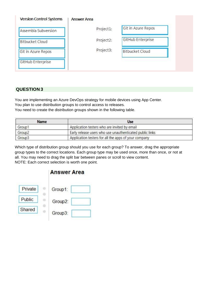| <b>Version Control Systems</b> | <b>Answer Area</b> |           |                        |
|--------------------------------|--------------------|-----------|------------------------|
| Assembla Subversion            |                    | Project1: | Git in Azure Repos     |
| <b>Bitbucket Cloud</b>         |                    | Project2: | GitHub Enterprise      |
| Git in Azure Repos             |                    | Project3: | <b>Bitbucket Cloud</b> |
| GitHub Enterprise              |                    |           |                        |

You are implementing an Azure DevOps strategy for mobile devices using App Center. You plan to use distribution groups to control access to releases. You need to create the distribution groups shown in the following table.

| Name               | <b>Use</b>                                               |  |
|--------------------|----------------------------------------------------------|--|
| Group1             | Application testers who are invited by email             |  |
| Group <sub>2</sub> | Early release users who use unauthenticated public links |  |
| Group3             | Application testers for all the apps of your company     |  |

Which type of distribution group should you use for each group? To answer, drag the appropriate group types to the correct locations. Each group type may be used once, more than once, or not at all. You may need to drag the split bar between panes or scroll to view content. NOTE: Each correct selection is worth one point.

| <b>Answer Area</b> |  |
|--------------------|--|
| Group1:            |  |
| Group2:            |  |
| Group3:            |  |
|                    |  |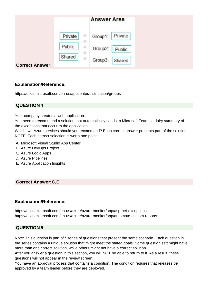|                        |         | <b>Answer Area</b> |  |
|------------------------|---------|--------------------|--|
|                        | Private | Private<br>Group1: |  |
|                        | Public  | Group2:<br>Public  |  |
| <b>Correct Answer:</b> | Shared  | Group3:<br>Shared  |  |

https://docs.microsoft.com/en-us/appcenter/distribution/groups

#### **QUESTION 4**

Your company creates a web application.

You need to recommend a solution that automatically sends to Microsoft Teams a dairy summary of the exceptions that occur m the application.

Which two Azure services should you recommend? Each correct answer presents part of the solution. NOTE: Each correct selection is worth one point.

- A. Microsoft Visual Studio App Center
- B. Azure DevOps Project
- C. Azure Logic Apps
- D. Azure Pipelines
- E. Azure Application Insights

#### **Correct Answer:C,E**

#### **Explanation/Reference:**

https://docs.microsoft.com/en-us/azure/azure-monitor/app/asp-net-exceptions https://docs.microsoft.com/en-us/azure/azure-monitor/app/automate-custom-reports

#### **QUESTION 5**

Note: This question is part of \* series of questions that present the same scenario. Each question in the series contains a unique solution that might meet the stated goals. Some question sett might have more than one correct solution, while others might not have a correct solution.

After you answer a question in this section, you will NOT be able to return to it. As a result, these questions will not appear in the review screen.

You have an approval process that contains a condition. The condition requires that releases be approved by a team leader before they are deployed.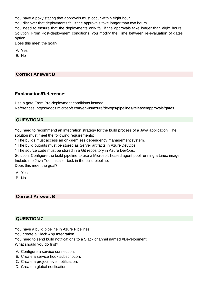You have a poky stating that approvals must occur within eight hour.

You discover that deployments fail if the approvals take longer than two hours.

You need to ensure that the deployments only fail if the approvals take longer than eight hours. Solution: From Post-deployment conditions, you modify the Time between re-evaluation of gates option.

Does this meet the goal?

A. Yes

B. No

#### **Correct Answer:B**

#### **Explanation/Reference:**

Use a gate From Pre-deployment conditions instead. References: https://docs.microsoft.com/en-us/azure/devops/pipelines/release/approvals/gates

#### **QUESTION 6**

You need to recommend an integration strategy for the build process of a Java application. The solution must meet the following requirements:

\* The builds must access an on-premises dependency management system.

\* The build outputs must be stored as Server artifacts in Azure DevOps.

\* The source code must be stored in a Git repository in Azure DevOps.

Solution: Configure the build pipeline to use a Microsoft-hosted agent pool running a Linux image. Include the Java Tool Installer task in the build pipeline.

Does this meet the goal?

A. Yes

B. No

#### **Correct Answer:B**

#### **QUESTION 7**

You have a build pipeline in Azure Pipelines.

You create a Slack App Integration.

You need to send build notifications to a Slack channel named #Development.

What should you do first?

- A. Configure a service connection.
- B. Create a service hook subscription.
- C. Create a project-level notification.
- D. Create a global notification.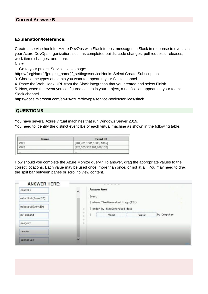Create a service hook for Azure DevOps with Slack to post messages to Slack in response to events in your Azure DevOps organization, such as completed builds, code changes, pull requests, releases, work items changes, and more.

Note:

1. Go to your project Service Hooks page:

https://{orgName}/{project\_name}/\_settings/serviceHooks Select Create Subscription.

3. Choose the types of events you want to appear in your Slack channel.

4. Paste the Web Hook URL from the Slack integration that you created and select Finish.

5. Now, when the event you configured occurs in your project, a notification appears in your team's Slack channel.

https://docs.microsoft.com/en-us/azure/devops/service-hooks/services/slack

### **QUESTION 8**

You have several Azure virtual machines that run Windows Server 2019.

You need to identify the distinct event IDs of each virtual machine as shown in the following table.

| Name            | Event ID                  |  |
|-----------------|---------------------------|--|
| VM <sub>1</sub> | [704,701,1501,1500, 1085] |  |
| VM <sub>2</sub> | [326,105,302,301,300,102] |  |
| $+ + +$         | 19.610                    |  |

How should you complete the Azure Monitor query? To answer, drag the appropriate values to the correct locations. Each value may be used once, more than once, or not at all. You may need to drag the split bar between panes or scroll to view content.

| <b>ANSWER HERE:</b> |                     |                                                                      |
|---------------------|---------------------|----------------------------------------------------------------------|
| count()             | $\hat{\phantom{a}}$ | <b>Answer Area</b>                                                   |
| makelist(EventID)   |                     | Event                                                                |
| makeset(EventID)    |                     | where $TimeGenerated > ago(12h)$<br>order by TimeGenerated desc<br>٠ |
| mv-expand           |                     | ٠<br>Value<br>by Computer<br>Value<br>æ<br>×                         |
| project             |                     | ÷<br>٠                                                               |
| render              |                     |                                                                      |
| summarize           | $\checkmark$        |                                                                      |

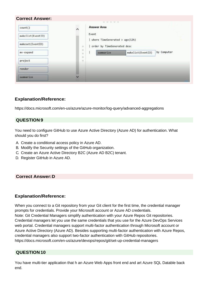| count()           | $\lambda$          | <b>Answer Area</b>                                              |
|-------------------|--------------------|-----------------------------------------------------------------|
| makelist(EventID) |                    | Event                                                           |
| makeset(EventID)  | $\rightarrow$      | where $TimeGenerated > ago(12h)$<br>order by TimeGenerated desc |
| mv-expand         | ÷<br>$\mathbb{R}$  | by Computer<br>makelist(EventID)<br>summarize                   |
| project           | $\frac{1}{2}$<br>÷ |                                                                 |
| render            |                    |                                                                 |
| summarize         | $\checkmark$       |                                                                 |

https://docs.microsoft.com/en-us/azure/azure-monitor/log-query/advanced-aggregations

#### **QUESTION 9**

You need to configure GitHub to use Azure Active Directory (Azure AD) for authentication. What should you do first?

- A. Create a conditional access policy in Azure AD.
- B. Modify the Security settings of the GitHub organization.
- C. Create an Azure Active Directory B2C (Azure AD B2C) tenant.
- D. Register GitHub in Azure AD.

#### **Correct Answer:D**

#### **Explanation/Reference:**

When you connect to a Git repository from your Git client for the first time, the credential manager prompts for credentials. Provide your Microsoft account or Azure AD credentials. Note: Git Credential Managers simplify authentication with your Azure Repos Git repositories. Credential managers let you use the same credentials that you use for the Azure DevOps Services web portal. Credential managers support multi-factor authentication through Microsoft account or Azure Active Directory (Azure AD). Besides supporting multi-factor authentication with Azure Repos, credential managers also support two-factor authentication with GitHub repositories. https://docs.microsoft.com/en-us/azure/devops/repos/git/set-up-credential-managers

#### **QUESTION 10**

You have multi-tier application that h an Azure Web Apps front end and art Azure SQL Datable back end.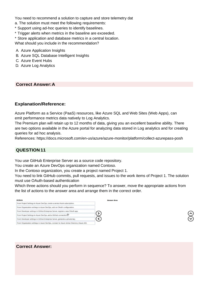You need to recommend a solution to capture and store telemetry dat

- a. The solution must meet the following requirements:
- \* Support using ad-hoc queries to identify baselines.
- \* Trigger alerts when metrics in the baseline are exceeded.
- \* Store application and database metrics in a central location.

What should you include in the recommendation?

- A. Azure Application Insights
- B. Azure SQL Database Intelligent Insights
- C. Azure Event Hubs
- D. Azure Log Analytics

#### **Correct Answer:A**

#### **Explanation/Reference:**

Azure Platform as a Service (PaaS) resources, like Azure SQL and Web Sites (Web Apps), can emit performance metrics data natively to Log Analytics.

The Premium plan will retain up to 12 months of data, giving you an excellent baseline ability. There are two options available in the Azure portal for analyzing data stored in Log analytics and for creating queries for ad hoc analysis.

References: https://docs.microsoft.com/en-us/azure/azure-monitor/platform/collect-azurepass-posh

### **QUESTION 11**

You use GitHub Enterprise Server as a source code repository.

You create an Azure DevOps organization named Contoso.

In the Contoso organization, you create a project named Project 1.

You need to link GitHub commits, pull requests, and issues to the work items of Project 1. The solution must use OAuth-based authentication

Which three actions should you perform in sequence? To answer, move the appropriate actions from the list of actions to the answer area and arrange them in the correct order.

| <b>Actions</b>                                                                            | <b>Answer Area</b> |
|-------------------------------------------------------------------------------------------|--------------------|
| From Project Settings in Azure DevOps, create a service hook subscription.                |                    |
| From Organization settings in Azure DevOps, add an OAuth configuration.                   |                    |
| From Developer settings in GitHub Enterprise Server, register a new OAuth app.            |                    |
| From Project Settings in Azure DevOps, add a GitHub connection.                           |                    |
| From Developer settings in GitHub Enterprise Server, generate a private key.              |                    |
| From Organization settings in Azure DevOps, connect to Azure Active Directory (Azure AD). |                    |

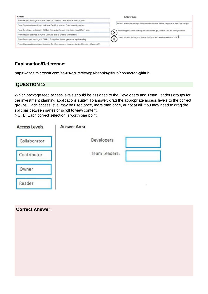| Actions                                                                                   | <b>Answer Area</b>                                                             |
|-------------------------------------------------------------------------------------------|--------------------------------------------------------------------------------|
| From Project Settings in Azure DevOps, create a service hook subscription.                |                                                                                |
| From Organization settings in Azure DevOps, add an OAuth configuration.                   | From Developer settings in GitHub Enterprise Server, register a new OAuth app. |
| From Developer settings in GitHub Enterprise Server, register a new OAuth app.            | From Organization settings in Azure DevOps, add an OAuth configuration.        |
| From Project Settings in Azure DevOps, add a GitHub connection                            |                                                                                |
| From Developer settings in GitHub Enterprise Server, generate a private key.              | From Project Settings in Azure DevOps, add a GitHub connection.                |
| From Organization settings in Azure DevOps, connect to Azure Active Directory (Azure AD). |                                                                                |

https://docs.microsoft.com/en-us/azure/devops/boards/github/connect-to-github

#### **QUESTION 12**

**Correct Answer:**

Which package feed access levels should be assigned to the Developers and Team Leaders groups for the investment planning applications suite? To answer, drag the appropriate access levels to the correct groups. Each access level may be used once, more than once, or not at all. You may need to drag the split bar between panes or scroll to view content.

NOTE: Each correct selection is worth one point.

| <b>Access Levels</b> | <b>Answer Area</b> |               |  |
|----------------------|--------------------|---------------|--|
| Collaborator         |                    | Developers:   |  |
| Contributor          |                    | Team Leaders: |  |
| Owner                |                    |               |  |
| Reader               |                    |               |  |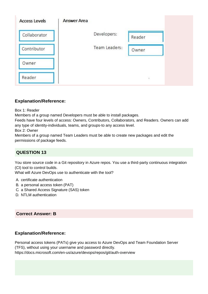| <b>Access Levels</b> | <b>Answer Area</b> |               |        |
|----------------------|--------------------|---------------|--------|
| Collaborator         |                    | Developers:   | Reader |
| Contributor          |                    | Team Leaders: | Owner  |
| Owner                |                    |               |        |
| Reader               |                    |               | š,     |

Box 1: Reader

Members of a group named Developers must be able to install packages.

Feeds have four levels of access: Owners, Contributors, Collaborators, and Readers. Owners can add any type of identity-individuals, teams, and groups-to any access level.

Box 2: Owner

Members of a group named Team Leaders must be able to create new packages and edit the permissions of package feeds.

# **QUESTION 13**

You store source code in a Git repository in Azure repos. You use a third-party continuous integration (CI) tool to control builds.

What will Azure DevOps use to authenticate with the tool?

- A. certificate authentication
- B. a personal access token (PAT)
- C. a Shared Access Signature (SAS) token
- D. NTLM authentication

### **Correct Answer: B**

### **Explanation/Reference:**

Personal access tokens (PATs) give you access to Azure DevOps and Team Foundation Server (TFS), without using your username and password directly.

https://docs.microsoft.com/en-us/azure/devops/repos/git/auth-overview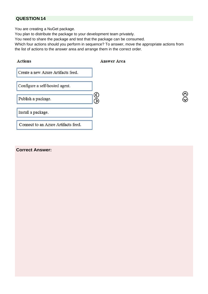You are creating a NuGet package.

You plan to distribute the package to your development team privately.

You need to share the package and test that the package can be consumed.

Which four actions should you perform in sequence? To answer, move the appropriate actions from the list of actions to the answer area and arrange them in the correct order.

| <b>Actions</b>                      | <b>Answer Area</b> |
|-------------------------------------|--------------------|
| Create a new Azure Artifacts feed.  |                    |
| Configure a self-hosted agent.      |                    |
| Publish a package.                  |                    |
| Install a package.                  |                    |
| Connect to an Azure Artifacts feed. |                    |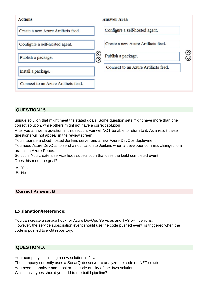

unique solution that might meet the stated goals. Some question sets might have more than one correct solution, while others might not have a correct solution

After you answer a question in this section, you will NOT be able to return to it. As a result these questions will not appear in the review screen.

You integrate a cloud-hosted Jenkins server and a new Azure DevOps deployment.

You need Azure DevOps to send a notification to Jenkins when a developer commits changes to a branch in Azure Repos.

Solution: You create a service hook subscription that uses the build completed event Does this meet the goal?

A. Yes B. No

#### **Correct Answer:B**

#### **Explanation/Reference:**

You can create a service hook for Azure DevOps Services and TFS with Jenkins. However, the service subscription event should use the code pushed event, is triggered when the code is pushed to a Git repository.

#### **QUESTION 16**

Your company is building a new solution in Java.

The company currently uses a SonarQube server to analyze the code of .NET solutions. You need to analyze and monitor the code quality of the Java solution.

Which task types should you add to the build pipeline?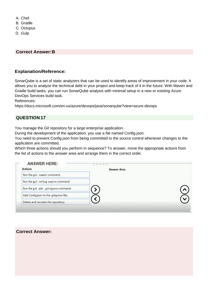A. Chef B. Gradle C. Octopus D. Gulp

#### **Correct Answer:B**

#### **Explanation/Reference:**

SonarQube is a set of static analyzers that can be used to identify areas of improvement in your code. It allows you to analyze the technical debt in your project and keep track of it in the future. With Maven and Gradle build tasks, you can run SonarQube analysis with minimal setup in a new or existing Azure DevOps Services build task.

References:

https://docs.microsoft.com/en-us/azure/devops/java/sonarqube?view=azure-devops

#### **QUESTION 17**

You manage the Git repository for a large enterprise application.

During the development of the application, you use a file named Config.json.

You need to prevent Config.json from being committed to the source control whenever changes to the application are committed.

Which three actions should you perform in sequence? To answer, move the appropriate actions from the list of actions to the answer area and arrange them in the correct order.

| <b>Actions</b>                          | <b>Answer Area</b> |  |
|-----------------------------------------|--------------------|--|
| Run the git commit command.             |                    |  |
| Run the git reflog expire command.      |                    |  |
| Run the git add .gitignore command.     |                    |  |
| Add Config.json to the .gitignore file. |                    |  |
| Delete and recreate the repository.     |                    |  |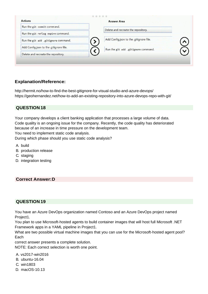| <b>Actions</b>                          | <b>Answer Area</b>                      |  |
|-----------------------------------------|-----------------------------------------|--|
| Run the git commit command.             | Delete and recreate the repository.     |  |
| Run the git reflog expire command.      |                                         |  |
| Run the git add .gitignore command.     | Add Config.json to the .gitignore file. |  |
| Add Config.json to the .gitignore file. | Run the git add .gitignore command.     |  |
| Delete and recreate the repository.     |                                         |  |

<http://hermit.no/how-to-find-the-best-gitignore-for-visual-studio-and-azure-devops/> https://geohernandez.net/how-to-add-an-existing-repository-into-azure-devops-repo-with-git/

#### **QUESTION 18**

Your company develops a client banking application that processes a large volume of data. Code quality is an ongoing issue for the company. Recently, the code quality has deteriorated because of an increase in time pressure on the development team. You need to implement static code analysis.

During which phase should you use static code analysis?

A. build

- B. production release
- C. staging
- D. integration testing

#### **Correct Answer:D**

### **QUESTION 19**

You have an Azure DevOps organization named Contoso and an Azure DevOps project named Project1.

You plan to use Microsoft-hosted agents to build container images that will host full Microsoft .NET Framework apps in a YAML pipeline in Project1.

What are two possible virtual machine images that you can use for the Microsoft-hosted agent pool? Each

correct answer presents a complete solution.

NOTE: Each correct selection is worth one point.

- A. vs2017-win2016
- B. ubuntu-16.04
- C. win1803
- D. macOS-10.13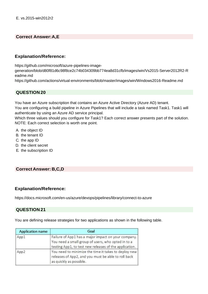#### **Correct Answer:A,E**

#### **Explanation/Reference:**

https://github.com/microsoft/azure-pipelines-image-

generation/blob/d80f81d6c98f8ce2c74b034309bb774ea8d31cfb/images/win/Vs2015-Server2012R2-R eadme.md

https://github.com/actions/virtual-environments/blob/master/images/win/Windows2016-Readme.md

### **QUESTION 20**

You have an Azure subscription that contains an Azure Active Directory (Azure AD) tenant.

You are configuring a build pipeline in Azure Pipelines that will include a task named Task1. Task1 will authenticate by using an Azure AD service principal.

Which three values should you configure for Task1? Each correct answer presents part of the solution. NOTE: Each correct selection is worth one point.

- A. the object ID
- B. the tenant ID
- C. the app ID
- D. the client secret
- E. the subscription ID

#### **Correct Answer: B,C,D**

#### **Explanation/Reference:**

https://docs.microsoft.com/en-us/azure/devops/pipelines/library/connect-to-azure

### **QUESTION 21**

You are defining release strategies for two applications as shown in the following table.

| <b>Application name</b> | Goal                                                                                                                                                                |  |  |
|-------------------------|---------------------------------------------------------------------------------------------------------------------------------------------------------------------|--|--|
| App1                    | Failure of App1 has a major impact on your company.<br>You need a small group of users, who opted in to a<br>testing App1, to test new releases of the application. |  |  |
| App2                    | You need to minimize the time it takes to deploy new<br>releases of App2, and you must be able to roll back<br>as quickly as possible.                              |  |  |